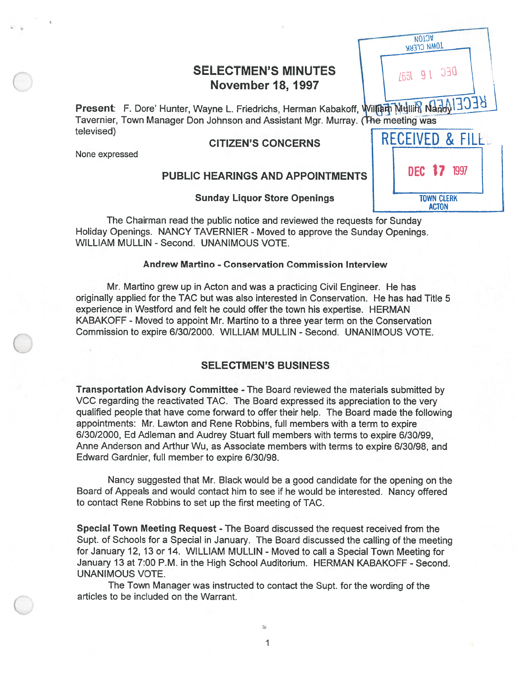# SELECTMEN'S MINUTES

SELECTMEN'S MINUTES<br>
November 18, 1997<br>
Present: F. Dore' Hunter, Wayne L. Friedrichs, Herman Kabakoff, William Mullim Nand(1303) Tavernier, Town Manager Don Johnson and Assistant Mgr. Murray. (The televised) and the contract of the contract of the contract of the contract of the contract of the contract of

## **CITIZEN'S CONCERNS**

None expressed

## PUBLIC HEARINGS AND APPOINTMENTS

| <b>DEUE Wand Millely Fig</b><br>meeting was |
|---------------------------------------------|
| RECEIVED & FILE                             |
| DEC 17 1997                                 |
| <b>TOWN CLERK</b><br><b>ACTON</b>           |

**MOTOA IOMN CLERK** 

Sunday Liquor Store Openings

The Chairman read the public notice and reviewed the requests for Sunday Holiday Openings. NANCY TAVERNIER - Moved to approve the Sunday Openings. WILLIAM MULLIN - Second. UNANIMOUS VOTE.

### Andrew Martino -Conservation Commission Interview

Mr. Martino grew up in Acton and was <sup>a</sup> practicing Civil Engineer. He has originally applied for the TAC but was also interested in Conservation. He has had Title 5 experience in Westford and felt he could offer the town his expertise. HERMAN KABAKOFF -Moved to appoint Mr. Martino to <sup>a</sup> three year term on the Conservation Commission to expire 6/30/2000. WILLIAM MULLIN - Second. UNANIMOUS VOTE.

#### SELECTMEN'S BUSINESS

Transportation Advisory Committee -The Board reviewed the materials submitted by VCC regarding the reactivated TAC. The Board expressed its appreciation to the very qualified people that have come forward to offer their help. The Board made the following appointments: Mr. Lawton and Rene Robbins, full members with <sup>a</sup> term to expire 6/30/2000, Ed Adleman and Audrey Stuart full members with terms to expire 6/30/99, Anne Anderson and Arthur Wu, as Associate members with terms to expire 6/30/98, and Edward Gardnier, full member to expire 6/30/98.

Nancy suggested that Mr. Black would be <sup>a</sup> good candidate for the opening on the Board of Appeals and would contact him to see if he would be interested. Nancy offered to contact Rene Robbins to set up the first meeting of TAC.

Special Town Meeting Request - The Board discussed the reques<sup>t</sup> received from the Supt. of Schools for <sup>a</sup> Special in January. The Board discussed the calling of the meeting for January 12, 13 or 14. WILLIAM MULLIN - Moved to call a Special Town Meeting for January 13 at 7:00 P.M. in the High School Auditorium. HERMAN KABAKOFF - Second. UNANIMOUS VOTE.

The Town Manager was instructed to contact the Supt. for the wording of the articles to be included on the Warrant.

> 1 1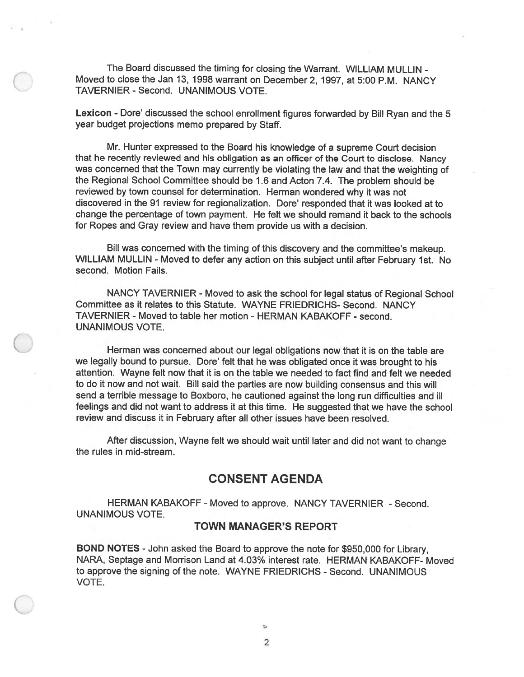The Board discussed the timing for closing the Warrant. WILLIAM MULLIN - Moved to close the Jan 13, 1998 warrant on December 2, 1997, at 5:00 P.M. NANCY TAVERNIER - Second. UNANIMOUS VOTE.

Lexicon - Dore' discussed the school enrollment figures forwarded by Bill Ryan and the <sup>5</sup> year budget projections memo prepared by Staff.

Mr. Hunter expressed to the Board his knowledge of <sup>a</sup> supreme Court decision that he recently reviewed and his obligation as an officer of the Court to disclose. Nancy was concerned that the Town may currently be violating the law and that the weighting of the Regional School Committee should be 1.6 and Acton 7.4. The problem should be reviewed by town counsel for determination. Herman wondered why it was not discovered in the 91 review for regionalization. Dote' responded that it was looked at to change the percentage of town payment. He felt we should remand it back to the schools for Ropes and Gray review and have them provide us with <sup>a</sup> decision.

Bill was concerned with the timing of this discovery and the committee's makeup. WILLIAM MULLIN - Moved to defer any action on this subject until after February 1st. No second. Motion Fails.

NANCY TAVERNIER - Moved to ask the school for legal status of Regional School Committee as it relates to this Statute. WAYNE FRIEDRICHS- Second. NANCY TAVERNIER - Moved to table her motion - HERMAN KABAKOFF - second. UNANIMOUS VOTE.

Herman was concerned about our legal obligations now that it is on the table are we legally bound to pursue. Dore' felt that he was obligated once it was brought to his attention. Wayne felt now that it is on the table we needed to fact find and felt we needed to do it now and not wait. Bill said the parties are now building consensus and this will send <sup>a</sup> terrible message to Boxboro, he cautioned against the long run difficulties and ill feelings and did not want to address it at this time. He suggested that we have the school review and discuss it in February after all other issues have been resolved.

After discussion, Wayne felt we should wait until later and did not want to change the rules in mid-stream.

# CONSENT AGENDA

HERMAN KABAKOFF - Moved to approve. NANCY TAVERNIER - Second. UNANIMOUS VOTE.

## TOWN MANAGER'S REPORT

BOND NOTES -John asked the Board to approve the note for \$950,000 for Library, NARA, Septage and Morrison Land at 4.03% interest rate. HERMAN KABAKOFF- Moved to approve the signing of the note. WAYNE FRIEDRICHS - Second. UNANIMOUS VOTE.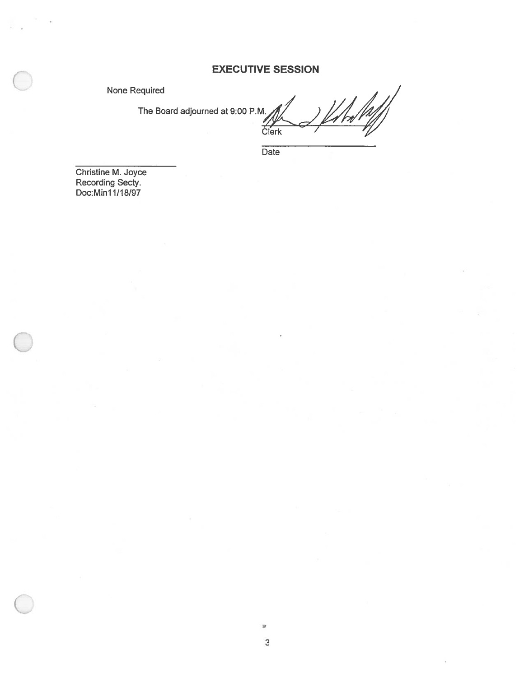# EXECUTIVE SESSION

None Required

The Board adjourned at 9:00 P.M

 $\frac{1}{\sqrt{2}}$ Clerk

**Date** 

Christine M. Joyce Recording Secty. Doc:Minl 1/1 8/97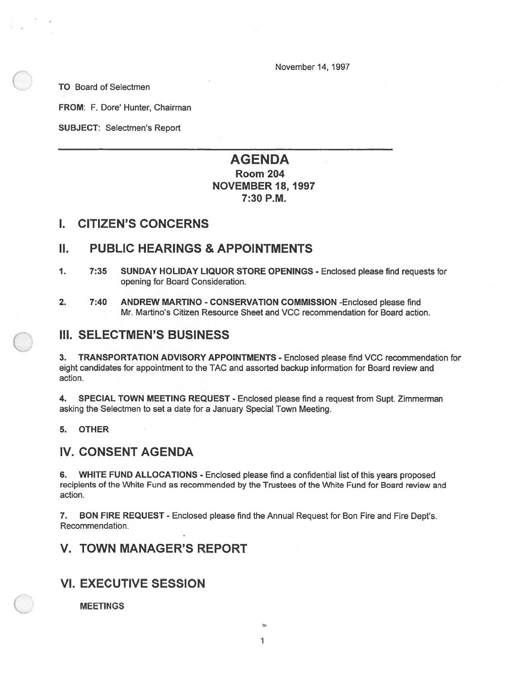November 14, 1997

TO Board of Selectmen

FROM: F. Dore' Hunter, Chairman

SUBJECT: Selectmen's Report

# AGENDA Room 204 NOVEMBER 18, 1997 7:30 P.M.

## I. CITIZEN'S CONCERNS

## II. PUBLIC HEARINGS & APPOINTMENTS

- 1. 7:35 SUNDAY HOLIDAY LIQUOR STORE OPENINGS Enclosed please find requests for opening for Board Consideration.
- 2. 7:40 ANDREW MARTINO CONSERVATION COMMISSION -Enclosed please find Mr. Martino's Citizen Resource Sheet and VCC recommendation for Board action.

# III. SELECTMEN'S BUSINESS

3. TRANSPORTATION ADVISORY APPOINTMENTS - Enclosed please find VCC recommendation for eight candidates for appointment to the TAC and assorted backup information for Board review and action.

4. SPECIAL TOWN MEETING REQUEST - Enclosed please find <sup>a</sup> reques<sup>t</sup> from Supt. Zimmerman asking the Selectmen to set <sup>a</sup> date for <sup>a</sup> January Special Town Meeting.

5. OTHER

# IV. CONSENT AGENDA

6. WHITE FUND ALLOCATIONS - Enclosed <sup>p</sup>lease find <sup>a</sup> confidential list of this years proposed recipients of the White Fund as recommended by the Trustees of the White Fund for Board review and action.

7. BON FIRE REQUEST - Enclosed please find the Annual Request for Bon Fire and Fire Dept's. Recommendation.

# V. TOWN MANAGER'S REPORT

# VI. EXECUTIVE SESSION

**MEETINGS**